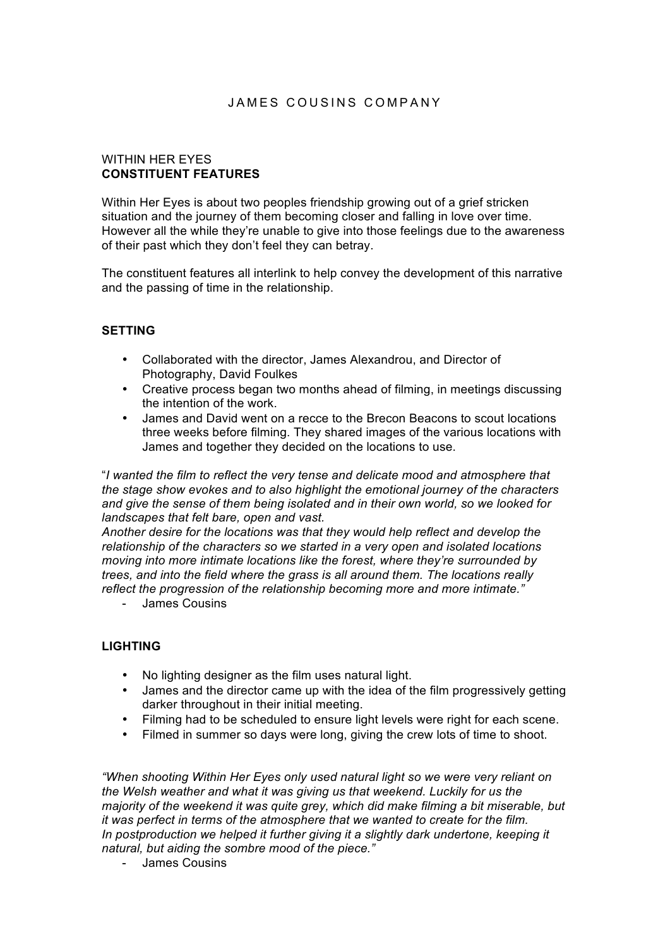# JAMES COUSINS COMPANY

#### WITHIN HER EYES **CONSTITUENT FEATURES**

Within Her Eyes is about two peoples friendship growing out of a grief stricken situation and the journey of them becoming closer and falling in love over time. However all the while they're unable to give into those feelings due to the awareness of their past which they don't feel they can betray.

The constituent features all interlink to help convey the development of this narrative and the passing of time in the relationship.

#### **SETTING**

- Collaborated with the director, James Alexandrou, and Director of Photography, David Foulkes
- Creative process began two months ahead of filming, in meetings discussing the intention of the work.
- James and David went on a recce to the Brecon Beacons to scout locations three weeks before filming. They shared images of the various locations with James and together they decided on the locations to use.

"*I wanted the film to reflect the very tense and delicate mood and atmosphere that the stage show evokes and to also highlight the emotional journey of the characters and give the sense of them being isolated and in their own world, so we looked for landscapes that felt bare, open and vast.* 

*Another desire for the locations was that they would help reflect and develop the relationship of the characters so we started in a very open and isolated locations moving into more intimate locations like the forest, where they're surrounded by trees, and into the field where the grass is all around them. The locations really reflect the progression of the relationship becoming more and more intimate."*

- James Cousins

#### **LIGHTING**

- No lighting designer as the film uses natural light.
- James and the director came up with the idea of the film progressively getting darker throughout in their initial meeting.
- Filming had to be scheduled to ensure light levels were right for each scene.
- Filmed in summer so days were long, giving the crew lots of time to shoot.

*"When shooting Within Her Eyes only used natural light so we were very reliant on the Welsh weather and what it was giving us that weekend. Luckily for us the majority of the weekend it was quite grey, which did make filming a bit miserable, but it was perfect in terms of the atmosphere that we wanted to create for the film.*  In postproduction we helped it further giving it a slightly dark undertone, keeping it *natural, but aiding the sombre mood of the piece."*

- James Cousins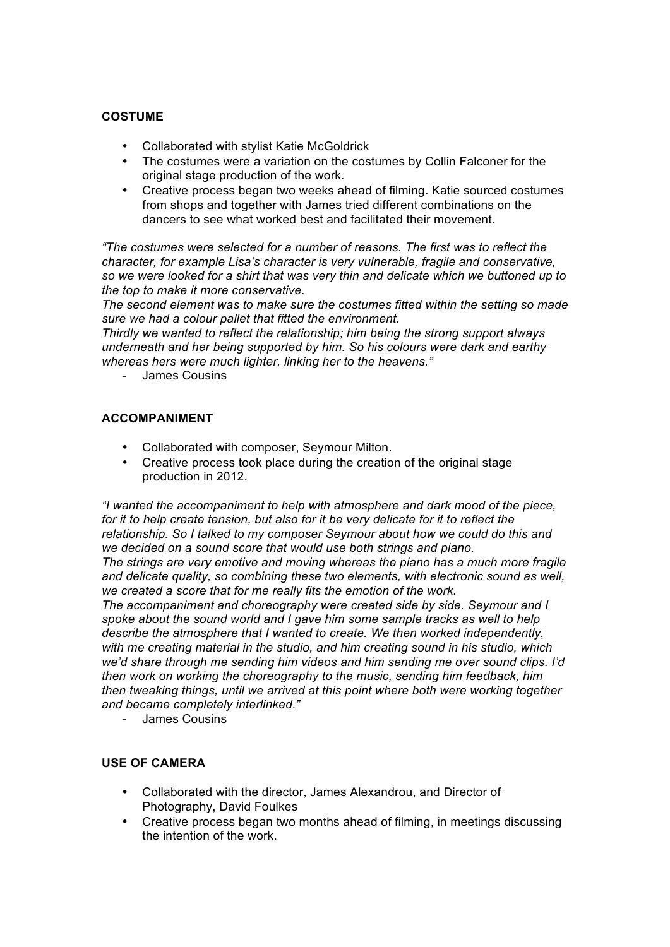# **COSTUME**

- Collaborated with stylist Katie McGoldrick
- The costumes were a variation on the costumes by Collin Falconer for the original stage production of the work.
- Creative process began two weeks ahead of filming. Katie sourced costumes from shops and together with James tried different combinations on the dancers to see what worked best and facilitated their movement.

*"The costumes were selected for a number of reasons. The first was to reflect the character, for example Lisa's character is very vulnerable, fragile and conservative, so we were looked for a shirt that was very thin and delicate which we buttoned up to the top to make it more conservative.* 

*The second element was to make sure the costumes fitted within the setting so made sure we had a colour pallet that fitted the environment.* 

*Thirdly we wanted to reflect the relationship; him being the strong support always underneath and her being supported by him. So his colours were dark and earthy whereas hers were much lighter, linking her to the heavens."*

- James Cousins

## **ACCOMPANIMENT**

- Collaborated with composer, Seymour Milton.
- Creative process took place during the creation of the original stage production in 2012.

*"I wanted the accompaniment to help with atmosphere and dark mood of the piece, for it to help create tension, but also for it be very delicate for it to reflect the relationship. So I talked to my composer Seymour about how we could do this and we decided on a sound score that would use both strings and piano. The strings are very emotive and moving whereas the piano has a much more fragile* 

*and delicate quality, so combining these two elements, with electronic sound as well, we created a score that for me really fits the emotion of the work.*

*The accompaniment and choreography were created side by side. Seymour and I spoke about the sound world and I gave him some sample tracks as well to help describe the atmosphere that I wanted to create. We then worked independently, with me creating material in the studio, and him creating sound in his studio, which we'd share through me sending him videos and him sending me over sound clips. I'd then work on working the choreography to the music, sending him feedback, him then tweaking things, until we arrived at this point where both were working together and became completely interlinked."*

- James Cousins

## **USE OF CAMERA**

- Collaborated with the director, James Alexandrou, and Director of Photography, David Foulkes
- Creative process began two months ahead of filming, in meetings discussing the intention of the work.